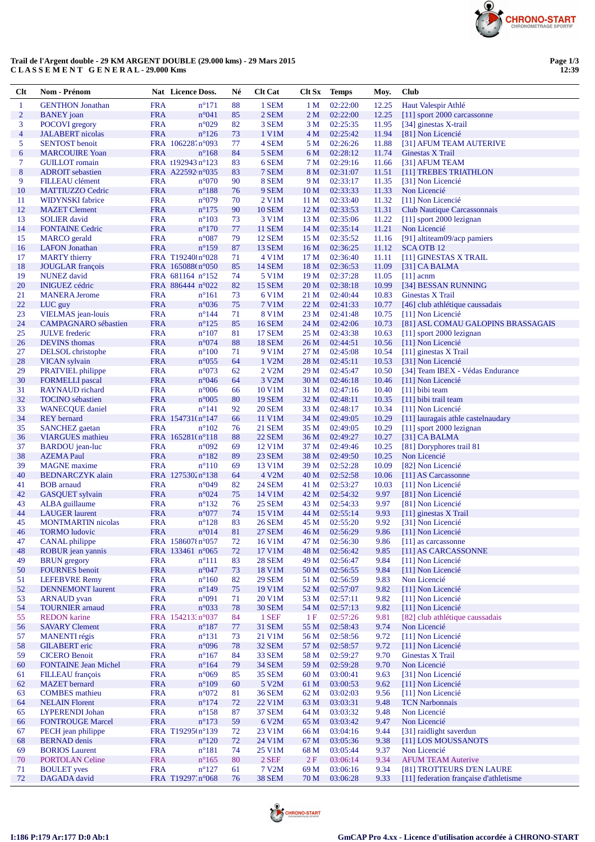

## **Trail de l'Argent double - 29 KM ARGENT DOUBLE (29.000 kms) - 29 Mars 2015 C L A S S E M E N T G E N E R A L - 29.000 Kms**

| Clt                      | Nom - Prénom                                      |                          | Nat Licence Doss.                   | Né           | <b>Clt Cat</b>                 |                         | Clt Sx Temps         | Moy.           | <b>Club</b>                                |
|--------------------------|---------------------------------------------------|--------------------------|-------------------------------------|--------------|--------------------------------|-------------------------|----------------------|----------------|--------------------------------------------|
| $\mathbf{1}$             | <b>GENTHON</b> Jonathan                           | <b>FRA</b>               | $n^{\circ}171$                      | 88           | 1 SEM                          | 1 M                     | 02:22:00             | 12.25          | Haut Valespir Athlé                        |
| $\overline{c}$           | <b>BANEY</b> joan                                 | <b>FRA</b>               | n°041                               | 85           | 2 SEM                          | 2 <sub>M</sub>          | 02:22:00             | 12.25          | [11] sport 2000 carcassonne                |
| 3                        | <b>POCOVI</b> gregory                             | <b>FRA</b>               | $n^{\circ}029$                      | 82           | 3 SEM                          | 3 M                     | 02:25:35             | 11.95          | [34] ginestas X-trail                      |
| $\overline{\mathcal{A}}$ | <b>JALABERT</b> nicolas                           | <b>FRA</b>               | $n^{\circ}126$                      | 73           | 1 V1M                          | 4 M                     | 02:25:42             | 11.94          | [81] Non Licencié                          |
| 5                        | <b>SENTOST</b> benoit                             | <b>FRA</b>               | FRA 106228.n°093                    | 77<br>84     | 4 SEM                          | 5 M                     | 02:26:26<br>02:28:12 | 11.88          | [31] AFUM TEAM AUTERIVE                    |
| 6<br>7                   | <b>MARCOUIRE Yoan</b><br><b>GUILLOT</b> romain    |                          | $n^{\circ}168$<br>FRA t192943 n°123 | 83           | 5 SEM<br>6 SEM                 | 6 M<br>7 M              | 02:29:16             | 11.74<br>11.66 | Ginestas X Trail<br>[31] AFUM TEAM         |
| $8\phantom{1}$           | <b>ADROIT</b> sebastien                           |                          | FRA A22592 n°035                    | 83           | 7 SEM                          | 8 M                     | 02:31:07             | 11.51          | [11] TREBES TRIATHLON                      |
| 9                        | FILLEAU clément                                   | <b>FRA</b>               | $n^{\circ}070$                      | 90           | 8 SEM                          | 9 M                     | 02:33:17             | 11.35          | [31] Non Licencié                          |
| 10                       | <b>MATTIUZZO Cedric</b>                           | <b>FRA</b>               | $n^{\circ}188$                      | 76           | 9 SEM                          | 10 <sub>M</sub>         | 02:33:33             | 11.33          | Non Licencié                               |
| 11                       | <b>WIDYNSKI</b> fabrice                           | <b>FRA</b>               | $n^{\circ}079$                      | 70           | 2 V1M                          | 11 M                    | 02:33:40             | 11.32          | [11] Non Licencié                          |
| 12                       | <b>MAZET</b> Clement                              | <b>FRA</b>               | $n^{\circ}175$                      | 90           | <b>10 SEM</b>                  | 12 M                    | 02:33:53             | 11.31          | Club Nautique Carcassonnais                |
| 13                       | <b>SOLIER</b> david                               | <b>FRA</b>               | $n^{\circ}103$                      | 73           | 3 V1M                          | 13 M                    | 02:35:06             | 11.22          | [11] sport 2000 lezignan                   |
| 14                       | <b>FONTAINE Cedric</b>                            | <b>FRA</b>               | $n^{\circ}170$                      | 77           | <b>11 SEM</b>                  | 14 M                    | 02:35:14             | 11.21          | Non Licencié                               |
| 15                       | <b>MARCO</b> gerald                               | <b>FRA</b>               | $n^{\circ}087$<br>$n^{\circ}159$    | 79<br>87     | <b>12 SEM</b>                  | 15 M                    | 02:35:52<br>02:36:25 | 11.16          | [91] altiteam09/acp pamiers                |
| 16<br>17                 | <b>LAFON</b> Jonathan<br><b>MARTY</b> thierry     | <b>FRA</b>               | FRA T192401n°028                    | 71           | <b>13 SEM</b><br>4 V1M         | 16 <sub>M</sub><br>17 M | 02:36:40             | 11.12<br>11.11 | <b>SCA OTB 12</b><br>[11] GINESTAS X TRAIL |
| 18                       | <b>JOUGLAR</b> françois                           |                          | FRA 165088tn°050                    | 85           | <b>14 SEM</b>                  | 18 M                    | 02:36:53             | 11.09          | [31] CA BALMA                              |
| 19                       | <b>NUNEZ</b> david                                |                          | FRA 681164 n°152                    | 74           | 5 V1M                          | 19 M                    | 02:37:28             | 11.05          | $[11]$ acnm                                |
| 20                       | <b>INIGUEZ</b> cédric                             |                          | FRA 886444 n°022                    | 82           | <b>15 SEM</b>                  | 20 M                    | 02:38:18             | 10.99          | [34] BESSAN RUNNING                        |
| 21                       | <b>MANERA Jerome</b>                              | <b>FRA</b>               | $n^{\circ}161$                      | 73           | 6 V1M                          | 21 M                    | 02:40:44             | 10.83          | Ginestas X Trail                           |
| 22                       | LUC guy                                           | <b>FRA</b>               | $n^{\circ}036$                      | 75           | 7 V1M                          | 22 M                    | 02:41:33             | 10.77          | [46] club athlétique caussadais            |
| 23                       | VIELMAS jean-louis                                | <b>FRA</b>               | $n^{\circ}$ 144                     | 71           | 8 V1M                          | 23 M                    | 02:41:48             | 10.75          | [11] Non Licencié                          |
| 24                       | <b>CAMPAGNARO</b> sébastien                       | <b>FRA</b>               | $n^{\circ}125$                      | 85           | <b>16 SEM</b>                  | 24 M                    | 02:42:06             | 10.73          | [81] ASL COMAU GALOPINS BRASSAGAIS         |
| 25<br>26                 | <b>JULVE</b> frederic                             | <b>FRA</b><br><b>FRA</b> | $n^{\circ}107$<br>$n^{\circ}074$    | 81<br>88     | 17 SEM<br><b>18 SEM</b>        | 25 M<br>26 M            | 02:43:38<br>02:44:51 | 10.63          | $[11]$ sport 2000 lezignan                 |
| 27                       | <b>DEVINS</b> thomas<br>DELSOL christophe         | <b>FRA</b>               | $n^{\circ}100$                      | 71           | 9 V1M                          | 27 M                    | 02:45:08             | 10.56<br>10.54 | [11] Non Licencié<br>[11] ginestas X Trail |
| 28                       | <b>VICAN</b> sylvain                              | <b>FRA</b>               | $n^{\circ}055$                      | 64           | 1 V2M                          | 28 M                    | 02:45:11             | 10.53          | [31] Non Licencié                          |
| 29                       | PRATVIEL philippe                                 | <b>FRA</b>               | $n^{\circ}073$                      | 62           | 2 V <sub>2</sub> M             | 29 M                    | 02:45:47             | 10.50          | [34] Team IBEX - Védas Endurance           |
| 30                       | <b>FORMELLI</b> pascal                            | <b>FRA</b>               | $n^{\circ}046$                      | 64           | 3 V <sub>2</sub> M             | 30 M                    | 02:46:18             | 10.46          | [11] Non Licencié                          |
| 31                       | <b>RAYNAUD</b> richard                            | <b>FRA</b>               | $n^{\circ}006$                      | 66           | 10 V1M                         | 31 M                    | 02:47:16             | 10.40          | $[11]$ bibi team                           |
| 32                       | <b>TOCINO</b> sébastien                           | <b>FRA</b>               | $n^{\circ}005$                      | 80           | <b>19 SEM</b>                  | 32 M                    | 02:48:11             | 10.35          | [11] bibi trail team                       |
| 33                       | <b>WANECQUE</b> daniel                            | <b>FRA</b>               | $n^{\circ}141$                      | 92           | <b>20 SEM</b>                  | 33 M                    | 02:48:17             | 10.34          | [11] Non Licencié                          |
| 34                       | <b>REY</b> bernard                                |                          | FRA 154731(n°147                    | 66           | 11 V1M                         | 34 M                    | 02:49:05             | 10.29          | [11] lauragais athle castelnaudary         |
| 35                       | <b>SANCHEZ</b> gaetan                             | <b>FRA</b>               | $n^{\circ}102$<br>FRA 165281(n°118  | 76           | <b>21 SEM</b><br><b>22 SEM</b> | 35 M<br>36 M            | 02:49:05<br>02:49:27 | 10.29          | [11] sport 2000 lezignan                   |
| 36<br>37                 | <b>VIARGUES</b> mathieu<br><b>BARDOU</b> jean-luc | <b>FRA</b>               | $n^{\circ}092$                      | 88<br>69     | 12 V1M                         | 37 M                    | 02:49:46             | 10.27<br>10.25 | [31] CA BALMA<br>[81] Doryphores trail 81  |
| 38                       | <b>AZEMA Paul</b>                                 | <b>FRA</b>               | $n^{\circ}182$                      | 89           | 23 SEM                         | 38 M                    | 02:49:50             | 10.25          | Non Licencié                               |
| 39                       | <b>MAGNE</b> maxime                               | <b>FRA</b>               | $n^{\circ}110$                      | 69           | 13 V1M                         | 39 M                    | 02:52:28             | 10.09          | [82] Non Licencié                          |
| 40                       | <b>BEDNARCZYK</b> alain                           |                          | FRA 1275302n°138                    | 64           | 4 V2M                          | 40 M                    | 02:52:58             | 10.06          | [11] AS Carcassonne                        |
| 41                       | <b>BOB</b> arnaud                                 | <b>FRA</b>               | $n^{\circ}049$                      | 82           | <b>24 SEM</b>                  | 41 M                    | 02:53:27             | 10.03          | [11] Non Licencié                          |
| 42                       | <b>GASQUET</b> sylvain                            | <b>FRA</b>               | $n^{\circ}024$                      | 75           | 14 V1M                         | 42 M                    | 02:54:32             | 9.97           | [81] Non Licencié                          |
| 43                       | ALBA guillaume                                    | <b>FRA</b>               | $n^{\circ}132$                      | 76           | <b>25 SEM</b>                  | 43 M                    | 02:54:33             | 9.97           | [81] Non Licencié                          |
| 44                       | <b>LAUGER</b> laurent                             | <b>FRA</b>               | $n^{\circ}077$                      | 74           | 15 V1M                         | 44 M                    | 02:55:14             | 9.93           | [11] ginestas X Trail                      |
| 45<br>46                 | <b>MONTMARTIN</b> nicolas<br><b>TORMO</b> ludovic | <b>FRA</b><br><b>FRA</b> | $n^{\circ}128$<br>n°014             | 83<br>81     | <b>26 SEM</b><br><b>27 SEM</b> | 45 M<br>46 M            | 02:55:20<br>02:56:29 | 9.92<br>9.86   | [31] Non Licencié<br>[11] Non Licencié     |
| 47                       | <b>CANAL</b> philippe                             |                          | FRA 158607{n°057                    | 72           | 16 V1M                         | 47 M                    | 02:56:30             | 9.86           | [11] as carcassonne                        |
| 48                       | ROBUR jean yannis                                 |                          | FRA 133461 n°065                    | 72           | 17 V1M                         | 48 M                    | 02:56:42             | 9.85           | [11] AS CARCASSONNE                        |
| 49                       | <b>BRUN</b> gregory                               | <b>FRA</b>               | $n^{\circ}111$                      | 83           | <b>28 SEM</b>                  | 49 M                    | 02:56:47             | 9.84           | [11] Non Licencié                          |
| 50                       | <b>FOURNES</b> benoit                             | <b>FRA</b>               | $n^{\circ}047$                      | 73           | 18 V1M                         | 50 M                    | 02:56:55             | 9.84           | [11] Non Licencié                          |
| 51                       | <b>LEFEBVRE Remy</b>                              | <b>FRA</b>               | $n^{\circ}160$                      | 82           | <b>29 SEM</b>                  | 51 M                    | 02:56:59             | 9.83           | Non Licencié                               |
| 52                       | <b>DENNEMONT</b> laurent                          | <b>FRA</b>               | $n^{\circ}149$                      | 75           | 19 V1M                         | 52 M                    | 02:57:07             | 9.82           | [11] Non Licencié                          |
| 53<br>54                 | <b>ARNAUD</b> yvan<br><b>TOURNIER</b> arnaud      | <b>FRA</b><br><b>FRA</b> | n°091<br>n°033                      | 71<br>78     | 20 V1M<br><b>30 SEM</b>        | 53 M<br>54 M            | 02:57:11<br>02:57:13 | 9.82<br>9.82   | [11] Non Licencié<br>[11] Non Licencié     |
| 55                       | <b>REDON</b> karine                               |                          | FRA 154213:n°037                    | 84           | 1 SEF                          | 1F                      | 02:57:26             | 9.81           | [82] club athlétique caussadais            |
| 56                       | <b>SAVARY Clement</b>                             | <b>FRA</b>               | $n^{\circ}187$                      | 77           | <b>31 SEM</b>                  | 55 M                    | 02:58:43             | 9.74           | Non Licencié                               |
| 57                       | <b>MANENTI</b> régis                              | <b>FRA</b>               | $n^{\circ}131$                      | 73           | 21 V1M                         | 56 M                    | 02:58:56             | 9.72           | [11] Non Licencié                          |
| 58                       | <b>GILABERT</b> eric                              | <b>FRA</b>               | $n^{\circ}096$                      | 78           | 32 SEM                         | 57 M                    | 02:58:57             | 9.72           | [11] Non Licencié                          |
| 59                       | <b>CICERO Benoit</b>                              | <b>FRA</b>               | $n^{\circ}167$                      | 84           | 33 SEM                         | 58 M                    | 02:59:27             | 9.70           | <b>Ginestas X Trail</b>                    |
| 60                       | <b>FONTAINE Jean Michel</b>                       | <b>FRA</b>               | $n^{\circ}164$                      | 79           | <b>34 SEM</b>                  | 59 M                    | 02:59:28             | 9.70           | Non Licencié                               |
| 61                       | <b>FILLEAU</b> françois                           | <b>FRA</b>               | n°069                               | 85           | <b>35 SEM</b>                  | 60 M                    | 03:00:41             | 9.63           | [31] Non Licencié                          |
| 62                       | <b>MAZET</b> bernard                              | <b>FRA</b>               | $n^{\circ}109$                      | 60           | 5 V2M                          | 61 M                    | 03:00:53             | 9.62           | [11] Non Licencié                          |
| 63<br>64                 | <b>COMBES</b> mathieu<br><b>NELAIN Florent</b>    | <b>FRA</b><br><b>FRA</b> | $n^{\circ}072$<br>$n^{\circ}174$    | 81<br>$72\,$ | <b>36 SEM</b><br>22 V1M        | 62 M<br>63 M            | 03:02:03<br>03:03:31 | 9.56<br>9.48   | [11] Non Licencié<br><b>TCN Narbonnais</b> |
| 65                       | <b>LYPERENDI Johan</b>                            | <b>FRA</b>               | $n^{\circ}158$                      | 87           | <b>37 SEM</b>                  | 64 M                    | 03:03:32             | 9.48           | Non Licencié                               |
| 66                       | <b>FONTROUGE Marcel</b>                           | <b>FRA</b>               | $n^{\circ}173$                      | 59           | 6 V2M                          | 65 M                    | 03:03:42             | 9.47           | Non Licencié                               |
| 67                       | PECH jean philippe                                |                          | FRA T19295(n°139                    | 72           | 23 V1M                         | 66 M                    | 03:04:16             | 9.44           | [31] raidlight saverdun                    |
| 68                       | <b>BERNAD</b> denis                               | <b>FRA</b>               | $n^{\circ}120$                      | $72\,$       | 24 V1M                         | 67 M                    | 03:05:36             | 9.38           | [11] LOS MOUSSANOTS                        |
| 69                       | <b>BORIOS</b> Laurent                             | <b>FRA</b>               | $n^{\circ}181$                      | 74           | 25 V1M                         | 68 M                    | 03:05:44             | 9.37           | Non Licencié                               |
| 70                       | <b>PORTOLAN Celine</b>                            | <b>FRA</b>               | $n^{\circ}165$                      | 80           | 2 SEF                          | 2F                      | 03:06:14             | 9.34           | <b>AFUM TEAM Auterive</b>                  |
| 71                       | <b>BOULET</b> yves                                | <b>FRA</b>               | $n^{\circ}127$                      | 61           | 7 V2M                          | 69 M                    | 03:06:16             | 9.34           | [81] TROTTEURS D'EN LAURE                  |
| 72                       | DAGADA david                                      |                          | FRA T19297'n°068                    | 76           | <b>38 SEM</b>                  | 70 M                    | 03:06:28             | 9.33           | [11] federation française d'athletisme     |

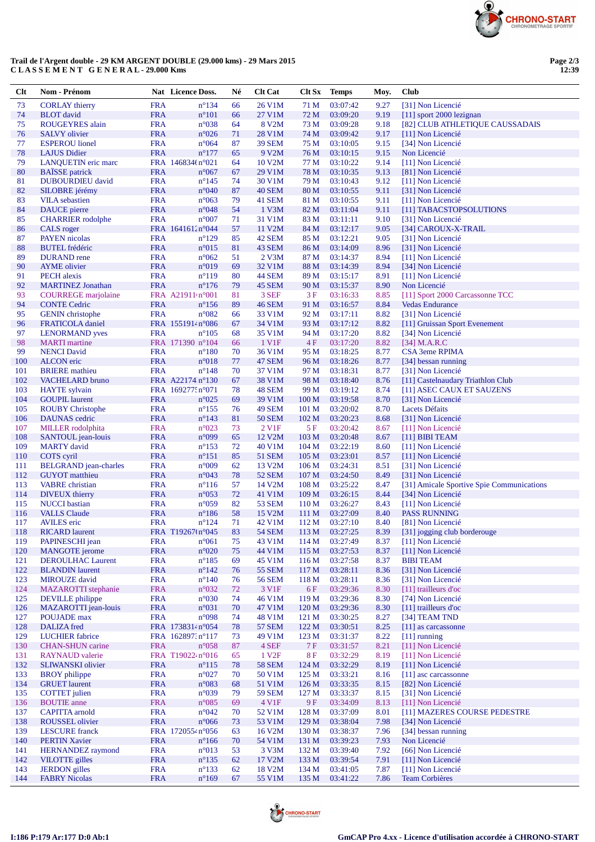

## Trail de l'Argent double - 29 KM ARGENT DOUBLE (29.000 kms) - 29 Mars 2015 CLASSEMENT GENERAL-29.000 Kms

| $Cl$ t     | Nom - Prénom                                   |                          | Nat Licence Doss.                 | Né       | <b>Clt Cat</b>      | Clt Sx           | <b>Temps</b>         | Moy.         | <b>Club</b>                                                    |
|------------|------------------------------------------------|--------------------------|-----------------------------------|----------|---------------------|------------------|----------------------|--------------|----------------------------------------------------------------|
| 73         | <b>CORLAY</b> thierry                          | <b>FRA</b>               | $n^{\circ}$ 134                   | 66       | 26 V1M              | 71 M             | 03:07:42             | 9.27         | [31] Non Licencié                                              |
| 74         | <b>BLOT</b> david                              | <b>FRA</b>               | $n^{\circ}101$                    | 66       | 27 V1M              | 72 M             | 03:09:20             | 9.19         | [11] sport 2000 lezignan                                       |
| 75         | ROUGEYRES alain                                | <b>FRA</b>               | $n^{\circ}038$                    | 64       | 8 V2M               | 73 M             | 03:09:28             | 9.18         | [82] CLUB ATHLETIQUE CAUSSADAIS                                |
| 76         | <b>SALVY</b> olivier                           | <b>FRA</b>               | $n^{\circ}026$                    | 71       | 28 V1M              | 74 M             | 03:09:42             | 9.17         | [11] Non Licencié                                              |
| 77         | <b>ESPEROU</b> lionel                          | <b>FRA</b>               | $n^{\circ}064$                    | 87       | <b>39 SEM</b>       | 75 M             | 03:10:05             | 9.15         | [34] Non Licencié                                              |
| 78         | <b>LAJUS Didier</b>                            | <b>FRA</b>               | $n^{\circ}177$                    | 65       | 9 V <sub>2</sub> M  | 76 M             | 03:10:15             | 9.15         | Non Licencié                                                   |
| 79         | <b>LANQUETIN</b> eric marc                     |                          | FRA 146834tn°021                  | 64       | 10 V2M              | 77 M             | 03:10:22             | 9.14         | [11] Non Licencié                                              |
| 80         | <b>BAÏSSE</b> patrick                          | <b>FRA</b>               | $n^{\circ}067$                    | 67       | 29 V1M              | 78 M             | 03:10:35             | 9.13         | [81] Non Licencié                                              |
| 81         | <b>DUBOURDIEU</b> david                        | <b>FRA</b>               | $n^{\circ}145$                    | 74       | 30 V1M              | 79 M             | 03:10:43             | 9.12         | [11] Non Licencié                                              |
| 82         | SILOBRE jérémy                                 | <b>FRA</b>               | $n^{\circ}040$                    | 87       | <b>40 SEM</b>       | 80 M             | 03:10:55             | 9.11         | [31] Non Licencié                                              |
| 83         | <b>VILA</b> sebastien                          | <b>FRA</b>               | $n^{\circ}063$                    | 79       | 41 SEM              | 81 M             | 03:10:55             | 9.11         | [11] Non Licencié                                              |
| 84         | DAUCE pierre                                   | <b>FRA</b>               | $n^{\circ}048$                    | 54       | 1 V3M               | 82 M             | 03:11:04             | 9.11         | [11] TABACSTOPSOLUTIONS                                        |
| 85         | <b>CHARRIER</b> rodolphe                       | <b>FRA</b>               | n°007                             | 71       | 31 V1M              | 83 M             | 03:11:11             | 9.10         | [31] Non Licencié                                              |
| 86         | CALS roger                                     |                          | FRA 1641612n°044                  | 57       | 11 V2M              | 84 M             | 03:12:17             | 9.05         | [34] CAROUX-X-TRAIL                                            |
| 87         | <b>PAYEN</b> nicolas                           | <b>FRA</b>               | $n^{\circ}129$                    | 85       | 42 SEM              | 85 M             | 03:12:21             | 9.05         | [31] Non Licencié                                              |
| 88         | <b>BUTEL</b> frédéric                          | <b>FRA</b>               | $n^{\circ}015$                    | 81       | 43 SEM              | 86 M             | 03:14:09             | 8.96         | [31] Non Licencié                                              |
| 89         | <b>DURAND</b> rene                             | <b>FRA</b>               | $n^{\circ}062$                    | 51       | $2$ V $3M$          | 87 M             | 03:14:37             | 8.94         | [11] Non Licencié                                              |
| 90         | <b>AYME</b> olivier                            | <b>FRA</b>               | n°019                             | 69       | 32 V1M              | 88 M             | 03:14:39             | 8.94         | [34] Non Licencié                                              |
| 91         | <b>PECH</b> alexis                             | <b>FRA</b>               | $n^{\circ}119$                    | 80       | 44 SEM              | 89 M             | 03:15:17             | 8.91         | [11] Non Licencié                                              |
| 92         | <b>MARTINEZ Jonathan</b>                       | <b>FRA</b>               | $n^{\circ}176$                    | 79       | 45 SEM              | 90 M             | 03:15:37             | 8.90         | Non Licencié                                                   |
| 93         | <b>COURREGE</b> marjolaine                     |                          | FRA A21911 n°001                  | 81       | 3 SEF               | 3 F              | 03:16:33             | 8.85         | [11] Sport 2000 Carcassonne TCC                                |
| 94         | <b>CONTE Cedric</b>                            | <b>FRA</b>               | $n^{\circ}156$                    | 89       | <b>46 SEM</b>       | 91 M             | 03:16:57             | 8.84         | <b>Vedas Endurance</b>                                         |
| 95         | <b>GENIN</b> christophe                        | <b>FRA</b>               | n°082                             | 66       | 33 V1M              | 92 M             | 03:17:11             | 8.82         | [31] Non Licencié                                              |
| 96         | <b>FRATICOLA</b> daniel                        |                          | FRA 1551914n°086                  | 67       | 34 V1M              | 93 M             | 03:17:12             | 8.82         | [11] Gruissan Sport Evenement                                  |
| 97         | <b>LENORMAND</b> yves                          | <b>FRA</b>               | $n^{\circ}105$                    | 68       | 35 V1M              | 94 M             | 03:17:20             | 8.82         | [34] Non Licencié                                              |
| 98         | <b>MARTI</b> martine                           |                          | FRA 171390 n°104                  | 66       | 1 V1F               | 4F               | 03:17:20             | 8.82         | [34] M.A.R.C                                                   |
| 99         | <b>NENCI David</b>                             | <b>FRA</b><br><b>FRA</b> | $n^{\circ}180$                    | 70<br>77 | 36 V1M              | 95 M             | 03:18:25             | 8.77         | CSA 3eme RPIMA                                                 |
| 100        | <b>ALCON</b> eric                              | <b>FRA</b>               | $n^{\circ}018$<br>$n^{\circ}$ 148 |          | 47 SEM<br>37 V1M    | 96 M             | 03:18:26             | 8.77         | [34] bessan running                                            |
| 101<br>102 | <b>BRIERE</b> mathieu                          |                          | FRA A22174 n°130                  | 70       | 38 V1M              | 97 M<br>98 M     | 03:18:31             | 8.77         | [31] Non Licencié                                              |
| 103        | <b>VACHELARD</b> bruno<br><b>HAYTE</b> sylvain |                          | FRA 169277: n°071                 | 67<br>78 | <b>48 SEM</b>       | 99 M             | 03:18:40<br>03:19:12 | 8.76<br>8.74 | [11] Castelnaudary Triathlon Club<br>[11] ASEC CAUX ET SAUZENS |
| 104        | <b>GOUPIL</b> laurent                          | <b>FRA</b>               | $n^{\circ}025$                    | 69       | 39 V1M              | 100 <sub>M</sub> | 03:19:58             | 8.70         | [31] Non Licencié                                              |
| 105        | <b>ROUBY Christophe</b>                        | <b>FRA</b>               | $n^{\circ}155$                    | 76       | <b>49 SEM</b>       | 101 M            | 03:20:02             | 8.70         | Lacets Défaits                                                 |
| 106        | DAUNAS cedric                                  | <b>FRA</b>               | $n^{\circ}143$                    | 81       | <b>50 SEM</b>       | 102 M            | 03:20:23             | 8.68         | [31] Non Licencié                                              |
| 107        | <b>MILLER</b> rodolphita                       | <b>FRA</b>               | n°023                             | 73       | 2 V1F               | 5F               | 03:20:42             | 8.67         | [11] Non Licencié                                              |
| 108        | SANTOUL jean-louis                             | <b>FRA</b>               | n°099                             | 65       | 12 V <sub>2</sub> M | 103 M            | 03:20:48             | 8.67         | $[11]$ BIBI TEAM                                               |
| 109        | <b>MARTY</b> david                             | <b>FRA</b>               | $n^{\circ}153$                    | 72       | 40 V1M              | 104 <sub>M</sub> | 03:22:19             | 8.60         | [11] Non Licencié                                              |
| 110        | COTS cyril                                     | <b>FRA</b>               | $n^{\circ}151$                    | 85       | <b>51 SEM</b>       | 105 <sub>M</sub> | 03:23:01             | 8.57         | [11] Non Licencié                                              |
| 111        | <b>BELGRAND</b> jean-charles                   | <b>FRA</b>               | $n^{\circ}009$                    | 62       | 13 V2M              | 106 <sub>M</sub> | 03:24:31             | 8.51         | [31] Non Licencié                                              |
| 112        | <b>GUYOT</b> matthieu                          | <b>FRA</b>               | n°043                             | 78       | 52 SEM              | 107 <sub>M</sub> | 03:24:50             | 8.49         | [31] Non Licencié                                              |
| 113        | <b>VABRE</b> christian                         | <b>FRA</b>               | $n^{\circ}116$                    | 57       | 14 V2M              | 108 M            | 03:25:22             | 8.47         | [31] Amicale Sportive Spie Communications                      |
| 114        | DIVEUX thierry                                 | <b>FRA</b>               | $n^{\circ}053$                    | 72       | 41 V1M              | 109 <sub>M</sub> | 03:26:15             | 8.44         | [34] Non Licencié                                              |
| 115        | <b>NUCCI</b> bastian                           | <b>FRA</b>               | $n^{\circ}059$                    | 82       | 53 SEM              | 110 <sub>M</sub> | 03:26:27             | 8.43         | [11] Non Licencié                                              |
| 116        | <b>VALLS Claude</b>                            | <b>FRA</b>               | $n^{\circ}186$                    | 58       | 15 V2M              | 111 M            | 03:27:09             | 8.40         | <b>PASS RUNNING</b>                                            |
| 117        | <b>AVILES</b> eric                             | <b>FRA</b>               | $n^{\circ}124$                    | 71       | 42 V1M              | 112M             | 03:27:10             | 8.40         | [81] Non Licencié                                              |
| 118        | <b>RICARD</b> laurent                          |                          | FRA T19267(n°045                  | 83       | <b>54 SEM</b>       | 113 M            | 03:27:25             | 8.39         | [31] jogging club borderouge                                   |
| 119        | PAPINESCHI jean                                | <b>FRA</b>               | $n^{\circ}061$                    | 75       | 43 V1M              | 114 M            | 03:27:49             | 8.37         | [11] Non Licencié                                              |
| 120        | <b>MANGOTE</b> jerome                          | <b>FRA</b>               | $n^{\circ}020$                    | 75       | 44 V1M              | 115 M            | 03:27:53             | 8.37         | [11] Non Licencié                                              |
| 121        | <b>DEROULHAC Laurent</b>                       | <b>FRA</b>               | $n^{\circ}185$                    | 69       | 45 V1M              | 116M             | 03:27:58             | 8.37         | <b>BIBI TEAM</b>                                               |
| 122        | <b>BLANDIN</b> laurent                         | <b>FRA</b>               | $n^{\circ}$ 142                   | 76       | <b>55 SEM</b>       | 117 <sub>M</sub> | 03:28:11             | 8.36         | [31] Non Licencié                                              |
| 123        | <b>MIROUZE</b> david                           | <b>FRA</b>               | $n^{\circ}140$                    | 76       | <b>56 SEM</b>       | 118 <sub>M</sub> | 03:28:11             | 8.36         | [31] Non Licencié                                              |
| 124        | <b>MAZAROTTI</b> stephanie                     | <b>FRA</b>               | n°032                             | 72       | 3 V1F               | $6 F$            | 03:29:36             | 8.30         | [11] trailleurs d'oc                                           |
| 125        | DEVILLE philippe                               | <b>FRA</b>               | n°030                             | 74       | 46 V1M              | 119 <sub>M</sub> | 03:29:36             | 8.30         | [74] Non Licencié                                              |
| 126        | <b>MAZAROTTI</b> jean-louis                    | <b>FRA</b>               | n°031                             | 70       | 47 V1M              | 120 <sub>M</sub> | 03:29:36             | 8.30         | [11] trailleurs d'oc                                           |
| 127        | POUJADE max                                    | <b>FRA</b>               | $n^{\circ}098$                    | 74       | 48 V1M              | 121 M            | 03:30:25             | 8.27         | [34] TEAM TND                                                  |
| 128        | <b>DALIZA</b> fred                             |                          | FRA 1738314n°054                  | 78       | <b>57 SEM</b>       | 122 M            | 03:30:51             | 8.25         | [11] as carcassonne                                            |
| 129        | <b>LUCHIER</b> fabrice                         |                          | FRA 162897. n°117                 | 73       | 49 V1M              | 123M             | 03:31:37             | 8.22         | $[11]$ running                                                 |
| 130        | <b>CHAN-SHUN</b> carine                        | <b>FRA</b>               | $n^{\circ}058$                    | 87       | 4 SEF               | 7F               | 03:31:57             | 8.21         | [11] Non Licencié                                              |
| 131        | <b>RAYNAUD</b> valerie                         |                          | FRA T190224 n°016                 | 65       | 1 V <sub>2F</sub>   | 8F               | 03:32:29             | 8.19         | [11] Non Licencié                                              |
| 132        | <b>SLIWANSKI</b> olivier                       | <b>FRA</b>               | $n^{\circ}115$                    | 78       | <b>58 SEM</b>       | 124 M            | 03:32:29             | 8.19         | [11] Non Licencié                                              |
| 133        | <b>BROY</b> philippe                           | <b>FRA</b>               | $n^{\circ}027$                    | 70       | 50 V1M              | 125 <sub>M</sub> | 03:33:21             | 8.16         | [11] asc carcassonne                                           |
| 134        | <b>GRUET</b> laurent                           | <b>FRA</b>               | $n^{\circ}083$                    | 68       | 51 V1M              | 126 M            | 03:33:35             | 8.15         | [82] Non Licencié                                              |
| 135        | <b>COTTET</b> julien                           | <b>FRA</b>               | $n^{\circ}039$                    | 79       | <b>59 SEM</b>       | 127 <sub>M</sub> | 03:33:37             | 8.15         | [31] Non Licencié                                              |
| 136        | <b>BOUTIE</b> anne                             | <b>FRA</b>               | $n^{\circ}085$                    | 69       | 4 V1F               | 9F               | 03:34:09             | 8.13         | [11] Non Licencié                                              |
| 137        | <b>CAPITTA</b> arnold                          | <b>FRA</b>               | $n^{\circ}042$                    | 70       | 52 V1M              | 128 M            | 03:37:09             | 8.01         | [11] MAZERES COURSE PEDESTRE                                   |
| 138        | ROUSSEL olivier                                | <b>FRA</b>               | $n^{\circ}066$                    | 73       | 53 V1M              | 129 M            | 03:38:04             | 7.98         | [34] Non Licencié                                              |
| 139        | <b>LESCURE</b> franck                          |                          | FRA 1720554 n°056                 | 63       | 16 V2M              | 130 <sub>M</sub> | 03:38:37             | 7.96         | [34] bessan running                                            |
| 140        | <b>PERTIN Xavier</b>                           | <b>FRA</b>               | $n^{\circ}166$                    | 70       | 54 V1M              | 131 M            | 03:39:23             | 7.93         | Non Licencié                                                   |
| 141        | <b>HERNANDEZ</b> raymond                       | <b>FRA</b>               | n°013                             | 53       | 3 V3M               | 132 M            | 03:39:40             | 7.92         | [66] Non Licencié                                              |
| 142        | <b>VILOTTE</b> gilles                          | <b>FRA</b>               | $n^{\circ}$ 135                   | 62       | 17 V2M              | 133 M            | 03:39:54             | 7.91         | [11] Non Licencié                                              |
| 143        | <b>JERDON</b> gilles                           | <b>FRA</b>               | $n^{\circ}133$                    | 62       | 18 V <sub>2</sub> M | 134 M            | 03:41:05             | 7.87         | [11] Non Licencié                                              |
| 144        | <b>FABRY Nicolas</b>                           | <b>FRA</b>               | $n^{\circ}169$                    | 67       | 55 V1M              | 135 M            | 03:41:22             | 7.86         | <b>Team Corbières</b>                                          |